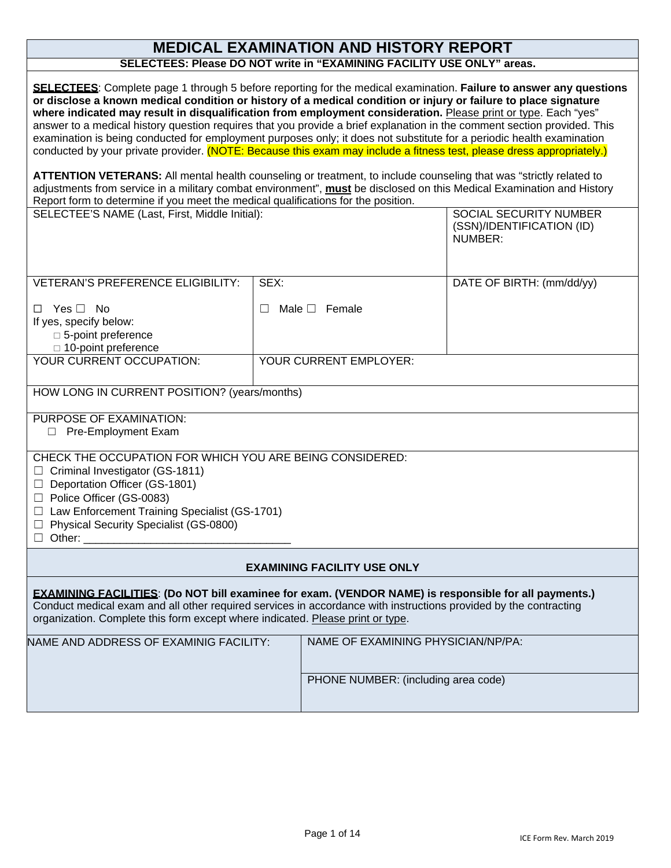# **MEDICAL EXAMINATION AND HISTORY REPORT**

**SELECTEES: Please DO NOT write in "EXAMINING FACILITY USE ONLY" areas.**

| <b>SELECTEES:</b> Complete page 1 through 5 before reporting for the medical examination. Failure to answer any questions<br>or disclose a known medical condition or history of a medical condition or injury or failure to place signature<br>where indicated may result in disqualification from employment consideration. Please print or type. Each "yes"<br>answer to a medical history question requires that you provide a brief explanation in the comment section provided. This<br>examination is being conducted for employment purposes only; it does not substitute for a periodic health examination<br>conducted by your private provider. (NOTE: Because this exam may include a fitness test, please dress appropriately.)<br>ATTENTION VETERANS: All mental health counseling or treatment, to include counseling that was "strictly related to<br>adjustments from service in a military combat environment", must be disclosed on this Medical Examination and History<br>Report form to determine if you meet the medical qualifications for the position.<br>SELECTEE'S NAME (Last, First, Middle Initial):<br><b>SOCIAL SECURITY NUMBER</b> |        |                                     |                                      |  |  |  |
|---------------------------------------------------------------------------------------------------------------------------------------------------------------------------------------------------------------------------------------------------------------------------------------------------------------------------------------------------------------------------------------------------------------------------------------------------------------------------------------------------------------------------------------------------------------------------------------------------------------------------------------------------------------------------------------------------------------------------------------------------------------------------------------------------------------------------------------------------------------------------------------------------------------------------------------------------------------------------------------------------------------------------------------------------------------------------------------------------------------------------------------------------------------------|--------|-------------------------------------|--------------------------------------|--|--|--|
|                                                                                                                                                                                                                                                                                                                                                                                                                                                                                                                                                                                                                                                                                                                                                                                                                                                                                                                                                                                                                                                                                                                                                                     |        |                                     | (SSN)/IDENTIFICATION (ID)<br>NUMBER: |  |  |  |
| <b>VETERAN'S PREFERENCE ELIGIBILITY:</b>                                                                                                                                                                                                                                                                                                                                                                                                                                                                                                                                                                                                                                                                                                                                                                                                                                                                                                                                                                                                                                                                                                                            | SEX:   |                                     | DATE OF BIRTH: (mm/dd/yy)            |  |  |  |
| $\Box$ Yes $\Box$ No<br>If yes, specify below:<br>□ 5-point preference<br>□ 10-point preference                                                                                                                                                                                                                                                                                                                                                                                                                                                                                                                                                                                                                                                                                                                                                                                                                                                                                                                                                                                                                                                                     | $\Box$ | Male $\square$ Female               |                                      |  |  |  |
| YOUR CURRENT OCCUPATION:                                                                                                                                                                                                                                                                                                                                                                                                                                                                                                                                                                                                                                                                                                                                                                                                                                                                                                                                                                                                                                                                                                                                            |        | YOUR CURRENT EMPLOYER:              |                                      |  |  |  |
|                                                                                                                                                                                                                                                                                                                                                                                                                                                                                                                                                                                                                                                                                                                                                                                                                                                                                                                                                                                                                                                                                                                                                                     |        |                                     |                                      |  |  |  |
| HOW LONG IN CURRENT POSITION? (years/months)                                                                                                                                                                                                                                                                                                                                                                                                                                                                                                                                                                                                                                                                                                                                                                                                                                                                                                                                                                                                                                                                                                                        |        |                                     |                                      |  |  |  |
| PURPOSE OF EXAMINATION:<br>Pre-Employment Exam<br>$\Box$                                                                                                                                                                                                                                                                                                                                                                                                                                                                                                                                                                                                                                                                                                                                                                                                                                                                                                                                                                                                                                                                                                            |        |                                     |                                      |  |  |  |
| CHECK THE OCCUPATION FOR WHICH YOU ARE BEING CONSIDERED:<br>Criminal Investigator (GS-1811)<br>Ш<br>Deportation Officer (GS-1801)<br>$\Box$<br>Police Officer (GS-0083)<br>$\Box$<br>□ Law Enforcement Training Specialist (GS-1701)<br>Physical Security Specialist (GS-0800)<br>$\Box$                                                                                                                                                                                                                                                                                                                                                                                                                                                                                                                                                                                                                                                                                                                                                                                                                                                                            |        |                                     |                                      |  |  |  |
| Other:                                                                                                                                                                                                                                                                                                                                                                                                                                                                                                                                                                                                                                                                                                                                                                                                                                                                                                                                                                                                                                                                                                                                                              |        |                                     |                                      |  |  |  |
| <b>EXAMINING FACILITY USE ONLY</b>                                                                                                                                                                                                                                                                                                                                                                                                                                                                                                                                                                                                                                                                                                                                                                                                                                                                                                                                                                                                                                                                                                                                  |        |                                     |                                      |  |  |  |
| <b>EXAMINING FACILITIES:</b> (Do NOT bill examinee for exam. (VENDOR NAME) is responsible for all payments.)<br>Conduct medical exam and all other required services in accordance with instructions provided by the contracting<br>organization. Complete this form except where indicated. Please print or type.                                                                                                                                                                                                                                                                                                                                                                                                                                                                                                                                                                                                                                                                                                                                                                                                                                                  |        |                                     |                                      |  |  |  |
| NAME AND ADDRESS OF EXAMINIG FACILITY:                                                                                                                                                                                                                                                                                                                                                                                                                                                                                                                                                                                                                                                                                                                                                                                                                                                                                                                                                                                                                                                                                                                              |        | NAME OF EXAMINING PHYSICIAN/NP/PA:  |                                      |  |  |  |
|                                                                                                                                                                                                                                                                                                                                                                                                                                                                                                                                                                                                                                                                                                                                                                                                                                                                                                                                                                                                                                                                                                                                                                     |        | PHONE NUMBER: (including area code) |                                      |  |  |  |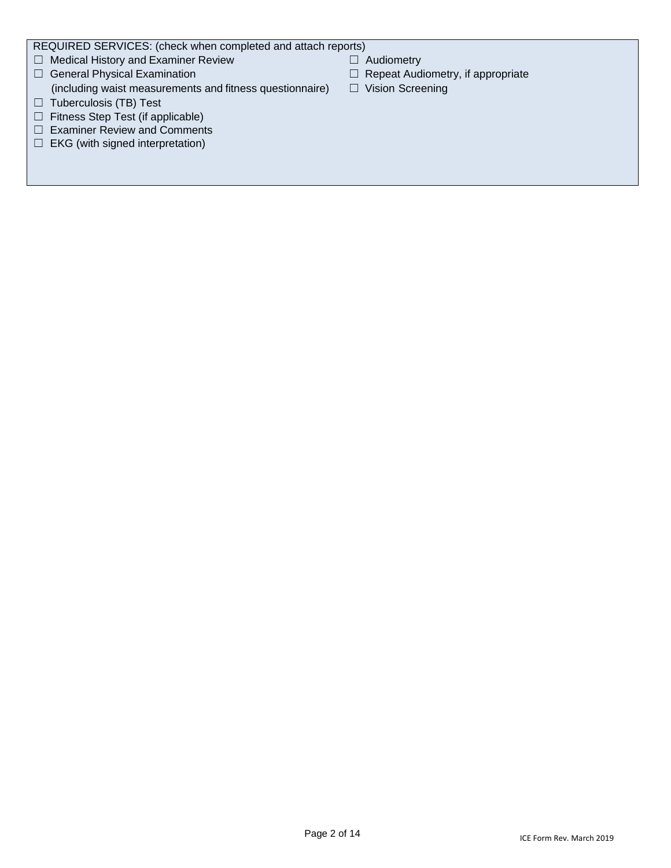REQUIRED SERVICES: (check when completed and attach reports)

- ☐ Medical History and Examiner Review ☐ Audiometry
- 
- (including waist measurements and fitness questionnaire)  $\Box$  Vision Screening
- ☐ Tuberculosis (TB) Test
- ☐ Fitness Step Test (if applicable)
- ☐ Examiner Review and Comments
- □ EKG (with signed interpretation)
- 
- ☐ General Physical Examination ☐ Repeat Audiometry, if appropriate
	-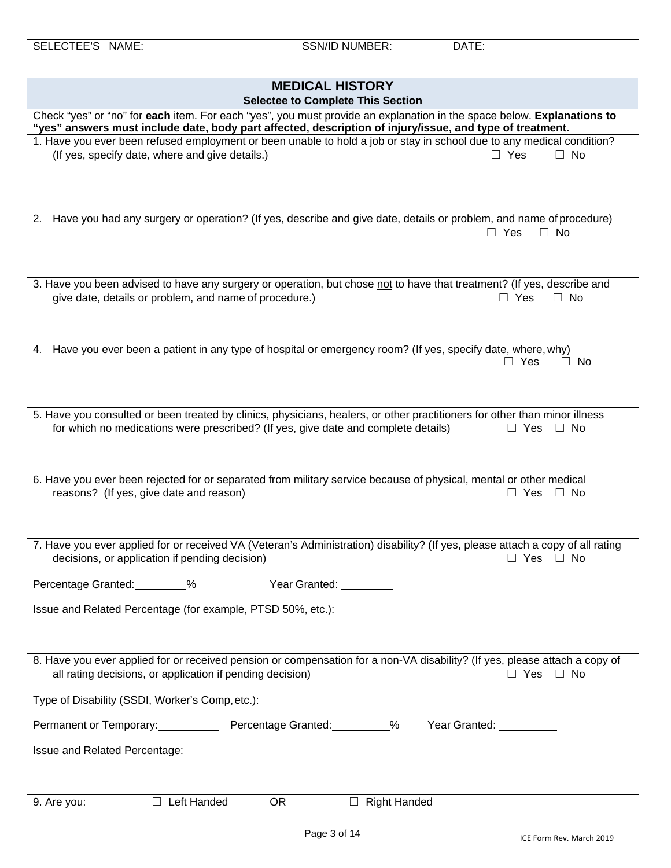| SELECTEE'S NAME:                                                                                                                                                                                                                   | <b>SSN/ID NUMBER:</b>                                              | DATE:                   |  |  |  |
|------------------------------------------------------------------------------------------------------------------------------------------------------------------------------------------------------------------------------------|--------------------------------------------------------------------|-------------------------|--|--|--|
|                                                                                                                                                                                                                                    |                                                                    |                         |  |  |  |
|                                                                                                                                                                                                                                    | <b>MEDICAL HISTORY</b><br><b>Selectee to Complete This Section</b> |                         |  |  |  |
| Check "yes" or "no" for each item. For each "yes", you must provide an explanation in the space below. Explanations to<br>"yes" answers must include date, body part affected, description of injury/issue, and type of treatment. |                                                                    |                         |  |  |  |
| 1. Have you ever been refused employment or been unable to hold a job or stay in school due to any medical condition?<br>(If yes, specify date, where and give details.)                                                           |                                                                    | $\Box$ No<br>$\Box$ Yes |  |  |  |
| Have you had any surgery or operation? (If yes, describe and give date, details or problem, and name of procedure)<br>2.                                                                                                           |                                                                    | $\Box$ Yes<br>$\Box$ No |  |  |  |
| 3. Have you been advised to have any surgery or operation, but chose not to have that treatment? (If yes, describe and<br>give date, details or problem, and name of procedure.)                                                   |                                                                    | $\Box$ Yes<br>$\Box$ No |  |  |  |
| Have you ever been a patient in any type of hospital or emergency room? (If yes, specify date, where, why)<br>4.                                                                                                                   |                                                                    | $\Box$ Yes<br>$\Box$ No |  |  |  |
| 5. Have you consulted or been treated by clinics, physicians, healers, or other practitioners for other than minor illness<br>for which no medications were prescribed? (If yes, give date and complete details)                   |                                                                    | $\Box$ Yes<br>$\Box$ No |  |  |  |
| 6. Have you ever been rejected for or separated from military service because of physical, mental or other medical<br>reasons? (If yes, give date and reason)                                                                      |                                                                    | $\Box$ No<br>$\Box$ Yes |  |  |  |
| 7. Have you ever applied for or received VA (Veteran's Administration) disability? (If yes, please attach a copy of all rating<br>decisions, or application if pending decision)                                                   |                                                                    | $\Box$ Yes $\Box$ No    |  |  |  |
| Percentage Granted: 8                                                                                                                                                                                                              | Year Granted: _________                                            |                         |  |  |  |
| Issue and Related Percentage (for example, PTSD 50%, etc.):                                                                                                                                                                        |                                                                    |                         |  |  |  |
| 8. Have you ever applied for or received pension or compensation for a non-VA disability? (If yes, please attach a copy of<br>all rating decisions, or application if pending decision)                                            |                                                                    | $\Box$ Yes $\Box$ No    |  |  |  |
|                                                                                                                                                                                                                                    |                                                                    |                         |  |  |  |
| Permanent or Temporary: Percentage Granted: 000 % Pear Granted: 000 mg/m                                                                                                                                                           |                                                                    |                         |  |  |  |
| Issue and Related Percentage:                                                                                                                                                                                                      |                                                                    |                         |  |  |  |
| $\Box$ Left Handed<br>9. Are you:                                                                                                                                                                                                  | <b>OR</b><br>$\Box$ Right Handed                                   |                         |  |  |  |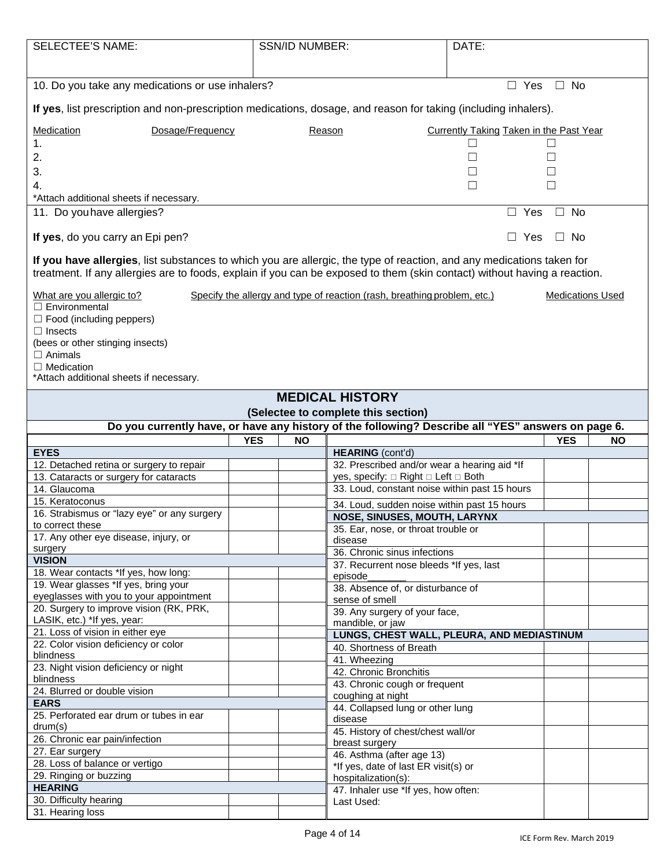| <b>SELECTEE'S NAME:</b>                                                                                                                                                                                                                            |            | <b>SSN/ID NUMBER:</b> |                                                                                      | DATE:                                   |                         |           |
|----------------------------------------------------------------------------------------------------------------------------------------------------------------------------------------------------------------------------------------------------|------------|-----------------------|--------------------------------------------------------------------------------------|-----------------------------------------|-------------------------|-----------|
|                                                                                                                                                                                                                                                    |            |                       |                                                                                      |                                         |                         |           |
|                                                                                                                                                                                                                                                    |            |                       |                                                                                      |                                         |                         |           |
| 10. Do you take any medications or use inhalers?<br>$\Box$ Yes<br>$\Box$ No                                                                                                                                                                        |            |                       |                                                                                      |                                         |                         |           |
| If yes, list prescription and non-prescription medications, dosage, and reason for taking (including inhalers).                                                                                                                                    |            |                       |                                                                                      |                                         |                         |           |
| Dosage/Frequency<br>Medication                                                                                                                                                                                                                     |            |                       | Reason                                                                               | Currently Taking Taken in the Past Year |                         |           |
| 1.                                                                                                                                                                                                                                                 |            |                       |                                                                                      |                                         |                         |           |
| 2.                                                                                                                                                                                                                                                 |            |                       |                                                                                      | $\Box$                                  |                         |           |
| 3.                                                                                                                                                                                                                                                 |            |                       |                                                                                      |                                         |                         |           |
| 4.                                                                                                                                                                                                                                                 |            |                       |                                                                                      | П                                       |                         |           |
| *Attach additional sheets if necessary.                                                                                                                                                                                                            |            |                       |                                                                                      |                                         |                         |           |
| 11. Do you have allergies?                                                                                                                                                                                                                         |            |                       |                                                                                      | $\Box$ Yes                              | No<br>$\Box$            |           |
| If yes, do you carry an Epi pen?                                                                                                                                                                                                                   |            |                       |                                                                                      | $\Box$ Yes                              | $\square$ No            |           |
| If you have allergies, list substances to which you are allergic, the type of reaction, and any medications taken for<br>treatment. If any allergies are to foods, explain if you can be exposed to them (skin contact) without having a reaction. |            |                       |                                                                                      |                                         |                         |           |
| What are you allergic to?                                                                                                                                                                                                                          |            |                       | Specify the allergy and type of reaction (rash, breathing problem, etc.)             |                                         | <b>Medications Used</b> |           |
| $\Box$ Environmental                                                                                                                                                                                                                               |            |                       |                                                                                      |                                         |                         |           |
| $\Box$ Food (including peppers)                                                                                                                                                                                                                    |            |                       |                                                                                      |                                         |                         |           |
| $\Box$ Insects                                                                                                                                                                                                                                     |            |                       |                                                                                      |                                         |                         |           |
| (bees or other stinging insects)                                                                                                                                                                                                                   |            |                       |                                                                                      |                                         |                         |           |
| $\Box$ Animals                                                                                                                                                                                                                                     |            |                       |                                                                                      |                                         |                         |           |
| $\Box$ Medication<br>*Attach additional sheets if necessary.                                                                                                                                                                                       |            |                       |                                                                                      |                                         |                         |           |
|                                                                                                                                                                                                                                                    |            |                       |                                                                                      |                                         |                         |           |
|                                                                                                                                                                                                                                                    |            |                       | <b>MEDICAL HISTORY</b>                                                               |                                         |                         |           |
|                                                                                                                                                                                                                                                    |            |                       | (Selectee to complete this section)                                                  |                                         |                         |           |
| Do you currently have, or have any history of the following? Describe all "YES" answers on page 6.                                                                                                                                                 |            |                       |                                                                                      |                                         |                         |           |
|                                                                                                                                                                                                                                                    |            |                       |                                                                                      |                                         |                         |           |
|                                                                                                                                                                                                                                                    | <b>YES</b> | <b>NO</b>             |                                                                                      |                                         | <b>YES</b>              | <b>NO</b> |
| <b>EYES</b>                                                                                                                                                                                                                                        |            |                       | <b>HEARING</b> (cont'd)                                                              |                                         |                         |           |
| 12. Detached retina or surgery to repair                                                                                                                                                                                                           |            |                       | 32. Prescribed and/or wear a hearing aid *If                                         |                                         |                         |           |
| 13. Cataracts or surgery for cataracts<br>14. Glaucoma                                                                                                                                                                                             |            |                       | yes, specify: □ Right □ Left □ Both<br>33. Loud, constant noise within past 15 hours |                                         |                         |           |
| 15. Keratoconus                                                                                                                                                                                                                                    |            |                       |                                                                                      |                                         |                         |           |
| 16. Strabismus or "lazy eye" or any surgery                                                                                                                                                                                                        |            |                       | 34. Loud, sudden noise within past 15 hours                                          |                                         |                         |           |
| to correct these                                                                                                                                                                                                                                   |            |                       | NOSE, SINUSES, MOUTH, LARYNX                                                         |                                         |                         |           |
| 17. Any other eye disease, injury, or                                                                                                                                                                                                              |            |                       | 35. Ear, nose, or throat trouble or<br>disease                                       |                                         |                         |           |
| surgery                                                                                                                                                                                                                                            |            |                       | 36. Chronic sinus infections                                                         |                                         |                         |           |
| <b>VISION</b>                                                                                                                                                                                                                                      |            |                       | 37. Recurrent nose bleeds *If yes, last                                              |                                         |                         |           |
| 18. Wear contacts *If yes, how long:                                                                                                                                                                                                               |            |                       | episode                                                                              |                                         |                         |           |
| 19. Wear glasses *If yes, bring your                                                                                                                                                                                                               |            |                       | 38. Absence of, or disturbance of                                                    |                                         |                         |           |
| eyeglasses with you to your appointment<br>20. Surgery to improve vision (RK, PRK,                                                                                                                                                                 |            |                       | sense of smell                                                                       |                                         |                         |           |
| LASIK, etc.) *If yes, year:                                                                                                                                                                                                                        |            |                       | 39. Any surgery of your face,<br>mandible, or jaw                                    |                                         |                         |           |
| 21. Loss of vision in either eye                                                                                                                                                                                                                   |            |                       | LUNGS, CHEST WALL, PLEURA, AND MEDIASTINUM                                           |                                         |                         |           |
| 22. Color vision deficiency or color                                                                                                                                                                                                               |            |                       | 40. Shortness of Breath                                                              |                                         |                         |           |
| blindness                                                                                                                                                                                                                                          |            |                       | 41. Wheezing                                                                         |                                         |                         |           |
| 23. Night vision deficiency or night                                                                                                                                                                                                               |            |                       | 42. Chronic Bronchitis                                                               |                                         |                         |           |
| blindness<br>24. Blurred or double vision                                                                                                                                                                                                          |            |                       | 43. Chronic cough or frequent                                                        |                                         |                         |           |
| <b>EARS</b>                                                                                                                                                                                                                                        |            |                       | coughing at night                                                                    |                                         |                         |           |
| 25. Perforated ear drum or tubes in ear                                                                                                                                                                                                            |            |                       | 44. Collapsed lung or other lung<br>disease                                          |                                         |                         |           |
| drum(s)                                                                                                                                                                                                                                            |            |                       | 45. History of chest/chest wall/or                                                   |                                         |                         |           |
| 26. Chronic ear pain/infection                                                                                                                                                                                                                     |            |                       | breast surgery                                                                       |                                         |                         |           |
| 27. Ear surgery                                                                                                                                                                                                                                    |            |                       | 46. Asthma (after age 13)                                                            |                                         |                         |           |
| 28. Loss of balance or vertigo                                                                                                                                                                                                                     |            |                       | *If yes, date of last ER visit(s) or                                                 |                                         |                         |           |
| 29. Ringing or buzzing                                                                                                                                                                                                                             |            |                       | hospitalization(s):                                                                  |                                         |                         |           |
| <b>HEARING</b><br>30. Difficulty hearing                                                                                                                                                                                                           |            |                       | 47. Inhaler use *If yes, how often:<br>Last Used:                                    |                                         |                         |           |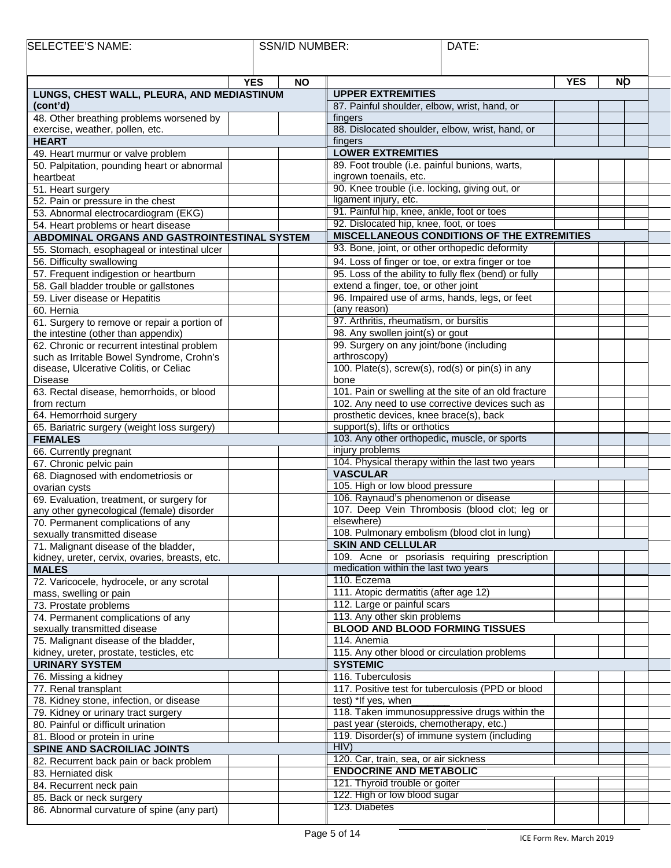| SELECTEE'S<br>NAME: | SSN/ID<br>NUMBER: | DATE: |  |
|---------------------|-------------------|-------|--|
|                     |                   |       |  |

| <b>YES</b>                                                         |                                                                                                         | YES | <b>NO</b> |
|--------------------------------------------------------------------|---------------------------------------------------------------------------------------------------------|-----|-----------|
| <b>NO</b><br>LUNGS, CHEST WALL, PLEURA, AND MEDIASTINUM            | <b>UPPER EXTREMITIES</b>                                                                                |     |           |
| (cont'd)                                                           | 87. Painful shoulder, elbow, wrist, hand, or                                                            |     |           |
| 48. Other breathing problems worsened by                           | fingers                                                                                                 |     |           |
| exercise, weather, pollen, etc.                                    | 88. Dislocated shoulder, elbow, wrist, hand, or                                                         |     |           |
| <b>HEART</b>                                                       | fingers                                                                                                 |     |           |
| 49. Heart murmur or valve problem                                  | <b>LOWER EXTREMITIES</b>                                                                                |     |           |
| 50. Palpitation, pounding heart or abnormal                        | 89. Foot trouble (i.e. painful bunions, warts,                                                          |     |           |
| heartbeat                                                          | ingrown toenails, etc.                                                                                  |     |           |
| 51. Heart surgery                                                  | 90. Knee trouble (i.e. locking, giving out, or                                                          |     |           |
| 52. Pain or pressure in the chest                                  | ligament injury, etc.                                                                                   |     |           |
| 53. Abnormal electrocardiogram (EKG)                               | 91. Painful hip, knee, ankle, foot or toes                                                              |     |           |
| 54. Heart problems or heart disease                                | 92. Dislocated hip, knee, foot, or toes                                                                 |     |           |
| ABDOMINAL ORGANS AND GASTROINTESTINAL SYSTEM                       | MISCELLANEOUS CONDITIONS OF THE EXTREMITIES                                                             |     |           |
| 55. Stomach, esophageal or intestinal ulcer                        | 93. Bone, joint, or other orthopedic deformity                                                          |     |           |
| 56. Difficulty swallowing                                          | 94. Loss of finger or toe, or extra finger or toe                                                       |     |           |
| 57. Frequent indigestion or heartburn                              | 95. Loss of the ability to fully flex (bend) or fully                                                   |     |           |
| 58. Gall bladder trouble or gallstones                             | extend a finger, toe, or other joint                                                                    |     |           |
| 59. Liver disease or Hepatitis                                     | 96. Impaired use of arms, hands, legs, or feet                                                          |     |           |
| 60. Hernia                                                         | (any reason)                                                                                            |     |           |
| 61. Surgery to remove or repair a portion of                       | 97. Arthritis, rheumatism, or bursitis                                                                  |     |           |
| the intestine (other than appendix)                                | 98. Any swollen joint(s) or gout                                                                        |     |           |
| 62. Chronic or recurrent intestinal problem                        | 99. Surgery on any joint/bone (including                                                                |     |           |
| such as Irritable Bowel Syndrome, Crohn's                          | arthroscopy)                                                                                            |     |           |
| disease, Ulcerative Colitis, or Celiac                             | 100. Plate(s), screw(s), rod(s) or pin(s) in any                                                        |     |           |
| Disease                                                            | bone                                                                                                    |     |           |
| 63. Rectal disease, hemorrhoids, or blood<br>from rectum           | 101. Pain or swelling at the site of an old fracture<br>102. Any need to use corrective devices such as |     |           |
| 64. Hemorrhoid surgery                                             | prosthetic devices, knee brace(s), back                                                                 |     |           |
| 65. Bariatric surgery (weight loss surgery)                        | support(s), lifts or orthotics                                                                          |     |           |
| <b>FEMALES</b>                                                     | 103. Any other orthopedic, muscle, or sports                                                            |     |           |
| 66. Currently pregnant                                             | injury problems                                                                                         |     |           |
| 67. Chronic pelvic pain                                            | 104. Physical therapy within the last two years                                                         |     |           |
| 68. Diagnosed with endometriosis or                                | <b>VASCULAR</b>                                                                                         |     |           |
| ovarian cysts                                                      | 105. High or low blood pressure                                                                         |     |           |
| 69. Evaluation, treatment, or surgery for                          | 106. Raynaud's phenomenon or disease                                                                    |     |           |
| any other gynecological (female) disorder                          | 107. Deep Vein Thrombosis (blood clot; leg or                                                           |     |           |
| 70. Permanent complications of any                                 | elsewhere)                                                                                              |     |           |
| sexually transmitted disease                                       | 108. Pulmonary embolism (blood clot in lung)                                                            |     |           |
| 71. Malignant disease of the bladder,                              | <b>SKIN AND CELLULAR</b>                                                                                |     |           |
| kidney, ureter, cervix, ovaries, breasts, etc.                     | 109. Acne or psoriasis requiring prescription                                                           |     |           |
| <b>MALES</b>                                                       | medication within the last two years                                                                    |     |           |
| 72. Varicocele, hydrocele, or any scrotal                          | 110. Eczema                                                                                             |     |           |
| mass, swelling or pain                                             | 111. Atopic dermatitis (after age 12)                                                                   |     |           |
| 73. Prostate problems                                              | 112. Large or painful scars<br>113. Any other skin problems                                             |     |           |
| 74. Permanent complications of any<br>sexually transmitted disease | <b>BLOOD AND BLOOD FORMING TISSUES</b>                                                                  |     |           |
| 75. Malignant disease of the bladder,                              | 114. Anemia                                                                                             |     |           |
| kidney, ureter, prostate, testicles, etc                           | 115. Any other blood or circulation problems                                                            |     |           |
| <b>URINARY SYSTEM</b>                                              | <b>SYSTEMIC</b>                                                                                         |     |           |
| 76. Missing a kidney                                               | 116. Tuberculosis                                                                                       |     |           |
| 77. Renal transplant                                               | 117. Positive test for tuberculosis (PPD or blood                                                       |     |           |
| 78. Kidney stone, infection, or disease                            | test) *If yes, when                                                                                     |     |           |
| 79. Kidney or urinary tract surgery                                | 118. Taken immunosuppressive drugs within the                                                           |     |           |
| 80. Painful or difficult urination                                 | past year (steroids, chemotherapy, etc.)                                                                |     |           |
| 81. Blood or protein in urine                                      | 119. Disorder(s) of immune system (including                                                            |     |           |
| SPINE AND SACROILIAC JOINTS                                        | HIV)                                                                                                    |     |           |
| 82. Recurrent back pain or back problem                            | 120. Car, train, sea, or air sickness                                                                   |     |           |
| 83. Herniated disk                                                 | <b>ENDOCRINE AND METABOLIC</b>                                                                          |     |           |
| 84. Recurrent neck pain                                            | 121. Thyroid trouble or goiter                                                                          |     |           |
| 85. Back or neck surgery                                           | 122. High or low blood sugar                                                                            |     |           |
| 86. Abnormal curvature of spine (any part)                         | 123. Diabetes                                                                                           |     |           |
|                                                                    |                                                                                                         |     |           |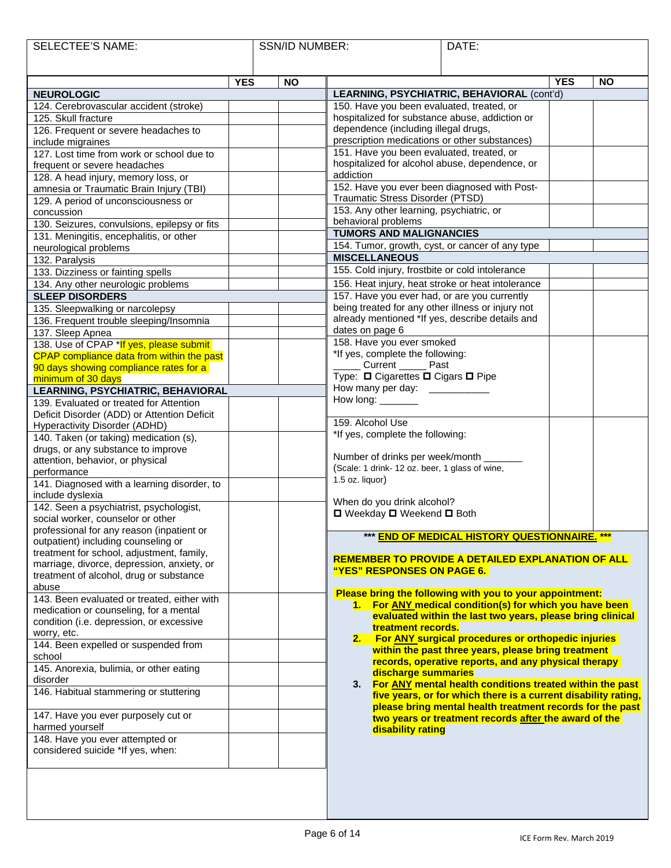| <b>SELECTEE'S NAME:</b>                                                    |            | <b>SSN/ID NUMBER:</b> |                                                                                                   | DATE:                                                                                                            |            |           |
|----------------------------------------------------------------------------|------------|-----------------------|---------------------------------------------------------------------------------------------------|------------------------------------------------------------------------------------------------------------------|------------|-----------|
|                                                                            |            |                       |                                                                                                   |                                                                                                                  |            |           |
|                                                                            |            |                       |                                                                                                   |                                                                                                                  |            |           |
| <b>NEUROLOGIC</b>                                                          | <b>YES</b> | <b>NO</b>             |                                                                                                   |                                                                                                                  | <b>YES</b> | <b>NO</b> |
| 124. Cerebrovascular accident (stroke)                                     |            |                       | 150. Have you been evaluated, treated, or                                                         | LEARNING, PSYCHIATRIC, BEHAVIORAL (cont'd)                                                                       |            |           |
| 125. Skull fracture                                                        |            |                       | hospitalized for substance abuse, addiction or                                                    |                                                                                                                  |            |           |
| 126. Frequent or severe headaches to                                       |            |                       | dependence (including illegal drugs,                                                              |                                                                                                                  |            |           |
| include migraines                                                          |            |                       | prescription medications or other substances)                                                     |                                                                                                                  |            |           |
| 127. Lost time from work or school due to                                  |            |                       | 151. Have you been evaluated, treated, or                                                         |                                                                                                                  |            |           |
| frequent or severe headaches                                               |            |                       | hospitalized for alcohol abuse, dependence, or                                                    |                                                                                                                  |            |           |
| 128. A head injury, memory loss, or                                        |            |                       | addiction                                                                                         |                                                                                                                  |            |           |
| amnesia or Traumatic Brain Injury (TBI)                                    |            |                       | 152. Have you ever been diagnosed with Post-                                                      |                                                                                                                  |            |           |
| 129. A period of unconsciousness or                                        |            |                       | Traumatic Stress Disorder (PTSD)                                                                  |                                                                                                                  |            |           |
| concussion                                                                 |            |                       | 153. Any other learning, psychiatric, or                                                          |                                                                                                                  |            |           |
| 130. Seizures, convulsions, epilepsy or fits                               |            |                       | behavioral problems                                                                               |                                                                                                                  |            |           |
| 131. Meningitis, encephalitis, or other                                    |            |                       | <b>TUMORS AND MALIGNANCIES</b>                                                                    |                                                                                                                  |            |           |
| neurological problems                                                      |            |                       | 154. Tumor, growth, cyst, or cancer of any type<br><b>MISCELLANEOUS</b>                           |                                                                                                                  |            |           |
| 132. Paralysis                                                             |            |                       | 155. Cold injury, frostbite or cold intolerance                                                   |                                                                                                                  |            |           |
| 133. Dizziness or fainting spells                                          |            |                       |                                                                                                   |                                                                                                                  |            |           |
| 134. Any other neurologic problems                                         |            |                       | 156. Heat injury, heat stroke or heat intolerance                                                 |                                                                                                                  |            |           |
| <b>SLEEP DISORDERS</b>                                                     |            |                       | 157. Have you ever had, or are you currently<br>being treated for any other illness or injury not |                                                                                                                  |            |           |
| 135. Sleepwalking or narcolepsy<br>136. Frequent trouble sleeping/Insomnia |            |                       | already mentioned *If yes, describe details and                                                   |                                                                                                                  |            |           |
| 137. Sleep Apnea                                                           |            |                       | dates on page 6                                                                                   |                                                                                                                  |            |           |
| 138. Use of CPAP *If yes, please submit                                    |            |                       | 158. Have you ever smoked                                                                         |                                                                                                                  |            |           |
| CPAP compliance data from within the past                                  |            |                       | *If yes, complete the following:                                                                  |                                                                                                                  |            |           |
| 90 days showing compliance rates for a                                     |            |                       | Current ______ Past                                                                               |                                                                                                                  |            |           |
| minimum of 30 days                                                         |            |                       | Type: □ Cigarettes □ Cigars □ Pipe                                                                |                                                                                                                  |            |           |
| LEARNING, PSYCHIATRIC, BEHAVIORAL                                          |            |                       | How many per day: ________                                                                        |                                                                                                                  |            |           |
| 139. Evaluated or treated for Attention                                    |            |                       | How long: ________                                                                                |                                                                                                                  |            |           |
| Deficit Disorder (ADD) or Attention Deficit                                |            |                       |                                                                                                   |                                                                                                                  |            |           |
| Hyperactivity Disorder (ADHD)                                              |            |                       | 159. Alcohol Use<br>*If yes, complete the following:                                              |                                                                                                                  |            |           |
| 140. Taken (or taking) medication (s),                                     |            |                       |                                                                                                   |                                                                                                                  |            |           |
| drugs, or any substance to improve                                         |            |                       | Number of drinks per week/month ____                                                              |                                                                                                                  |            |           |
| attention, behavior, or physical<br>performance                            |            |                       | (Scale: 1 drink- 12 oz. beer, 1 glass of wine,                                                    |                                                                                                                  |            |           |
| 141. Diagnosed with a learning disorder, to                                |            |                       | 1.5 oz. liquor)                                                                                   |                                                                                                                  |            |           |
| include dyslexia                                                           |            |                       |                                                                                                   |                                                                                                                  |            |           |
| 142. Seen a psychiatrist, psychologist,                                    |            |                       | When do you drink alcohol?                                                                        |                                                                                                                  |            |           |
| social worker, counselor or other                                          |            |                       | □ Weekday □ Weekend □ Both                                                                        |                                                                                                                  |            |           |
| professional for any reason (inpatient or                                  |            |                       |                                                                                                   |                                                                                                                  |            |           |
| outpatient) including counseling or                                        |            |                       |                                                                                                   | *** END OF MEDICAL HISTORY QUESTIONNAIRE. ***                                                                    |            |           |
| treatment for school, adjustment, family,                                  |            |                       |                                                                                                   | <b>REMEMBER TO PROVIDE A DETAILED EXPLANATION OF ALL</b>                                                         |            |           |
| marriage, divorce, depression, anxiety, or                                 |            |                       |                                                                                                   |                                                                                                                  |            |           |
| treatment of alcohol, drug or substance                                    |            |                       |                                                                                                   |                                                                                                                  |            |           |
| abuse<br>143. Been evaluated or treated, either with                       |            |                       |                                                                                                   | Please bring the following with you to your appointment:                                                         |            |           |
| medication or counseling, for a mental                                     |            |                       |                                                                                                   | 1. For ANY medical condition(s) for which you have been                                                          |            |           |
| condition (i.e. depression, or excessive                                   |            |                       |                                                                                                   | evaluated within the last two years, please bring clinical                                                       |            |           |
| worry, etc.                                                                |            |                       | treatment records.                                                                                |                                                                                                                  |            |           |
| 144. Been expelled or suspended from                                       |            |                       | 2.                                                                                                | <b>For ANY surgical procedures or orthopedic injuries</b><br>within the past three years, please bring treatment |            |           |
| school                                                                     |            |                       |                                                                                                   | records, operative reports, and any physical therapy                                                             |            |           |
| 145. Anorexia, bulimia, or other eating                                    |            |                       | discharge summaries                                                                               |                                                                                                                  |            |           |
| disorder                                                                   |            |                       | 3.                                                                                                | For ANY mental health conditions treated within the past                                                         |            |           |
| 146. Habitual stammering or stuttering                                     |            |                       |                                                                                                   | five years, or for which there is a current disability rating,                                                   |            |           |
|                                                                            |            |                       |                                                                                                   | please bring mental health treatment records for the past                                                        |            |           |
| 147. Have you ever purposely cut or<br>harmed yourself                     |            |                       |                                                                                                   | two years or treatment records after the award of the                                                            |            |           |
| 148. Have you ever attempted or                                            |            |                       | disability rating                                                                                 |                                                                                                                  |            |           |
| considered suicide *If yes, when:                                          |            |                       |                                                                                                   |                                                                                                                  |            |           |
|                                                                            |            |                       |                                                                                                   |                                                                                                                  |            |           |
|                                                                            |            |                       |                                                                                                   |                                                                                                                  |            |           |
|                                                                            |            |                       |                                                                                                   |                                                                                                                  |            |           |
|                                                                            |            |                       |                                                                                                   |                                                                                                                  |            |           |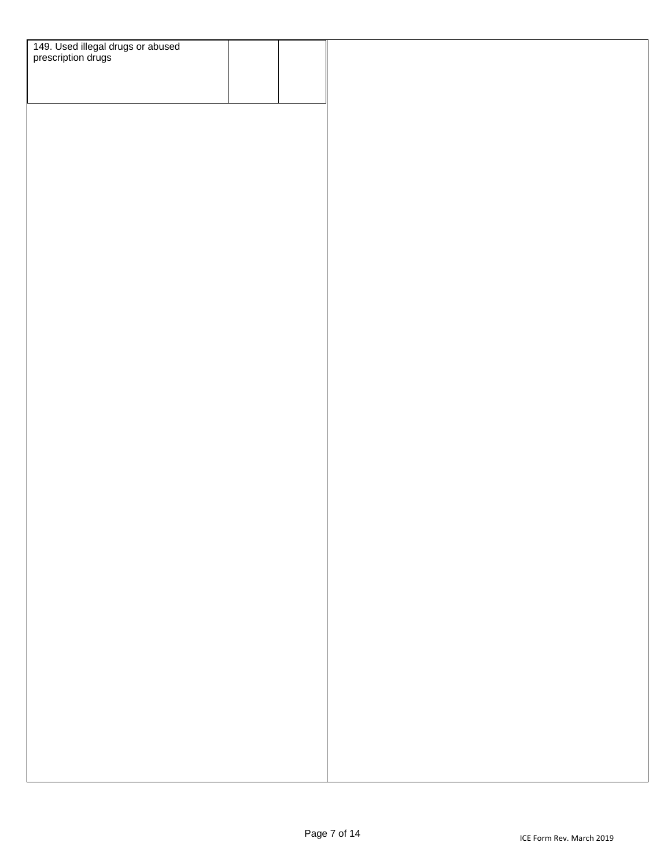| 149. Used illegal drugs or abused<br>prescription drugs |  |  |
|---------------------------------------------------------|--|--|
|                                                         |  |  |
|                                                         |  |  |
|                                                         |  |  |
|                                                         |  |  |
|                                                         |  |  |
|                                                         |  |  |
|                                                         |  |  |
|                                                         |  |  |
|                                                         |  |  |
|                                                         |  |  |
|                                                         |  |  |
|                                                         |  |  |
|                                                         |  |  |
|                                                         |  |  |
|                                                         |  |  |
|                                                         |  |  |
|                                                         |  |  |
|                                                         |  |  |
|                                                         |  |  |
|                                                         |  |  |
|                                                         |  |  |
|                                                         |  |  |
|                                                         |  |  |
|                                                         |  |  |
|                                                         |  |  |
|                                                         |  |  |
|                                                         |  |  |
|                                                         |  |  |
|                                                         |  |  |
|                                                         |  |  |
|                                                         |  |  |
|                                                         |  |  |
|                                                         |  |  |
|                                                         |  |  |
|                                                         |  |  |
|                                                         |  |  |
|                                                         |  |  |
|                                                         |  |  |
|                                                         |  |  |
|                                                         |  |  |
|                                                         |  |  |
|                                                         |  |  |
|                                                         |  |  |
|                                                         |  |  |
|                                                         |  |  |
|                                                         |  |  |
|                                                         |  |  |
|                                                         |  |  |
|                                                         |  |  |
|                                                         |  |  |
|                                                         |  |  |
|                                                         |  |  |
|                                                         |  |  |
|                                                         |  |  |
|                                                         |  |  |
|                                                         |  |  |
|                                                         |  |  |
|                                                         |  |  |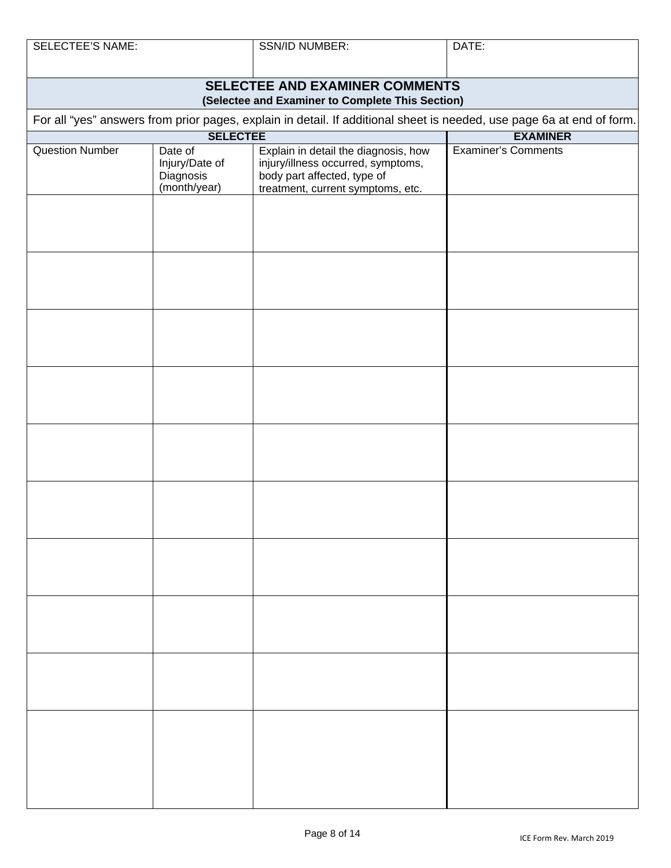SSN/ID NUMBER: DATE:

| SELECTEE AND EXAMINER COMMENTS<br>(Selectee and Examiner to Complete This Section)                                    |                                                        |                                                                                                                                                |                            |  |  |
|-----------------------------------------------------------------------------------------------------------------------|--------------------------------------------------------|------------------------------------------------------------------------------------------------------------------------------------------------|----------------------------|--|--|
| For all "yes" answers from prior pages, explain in detail. If additional sheet is needed, use page 6a at end of form. |                                                        |                                                                                                                                                |                            |  |  |
|                                                                                                                       | <b>SELECTEE</b>                                        |                                                                                                                                                | <b>EXAMINER</b>            |  |  |
| <b>Question Number</b>                                                                                                | Date of<br>Injury/Date of<br>Diagnosis<br>(month/year) | Explain in detail the diagnosis, how<br>injury/illness occurred, symptoms,<br>body part affected, type of<br>treatment, current symptoms, etc. | <b>Examiner's Comments</b> |  |  |
|                                                                                                                       |                                                        |                                                                                                                                                |                            |  |  |
|                                                                                                                       |                                                        |                                                                                                                                                |                            |  |  |
|                                                                                                                       |                                                        |                                                                                                                                                |                            |  |  |
|                                                                                                                       |                                                        |                                                                                                                                                |                            |  |  |
|                                                                                                                       |                                                        |                                                                                                                                                |                            |  |  |
|                                                                                                                       |                                                        |                                                                                                                                                |                            |  |  |
|                                                                                                                       |                                                        |                                                                                                                                                |                            |  |  |
|                                                                                                                       |                                                        |                                                                                                                                                |                            |  |  |
|                                                                                                                       |                                                        |                                                                                                                                                |                            |  |  |
|                                                                                                                       |                                                        |                                                                                                                                                |                            |  |  |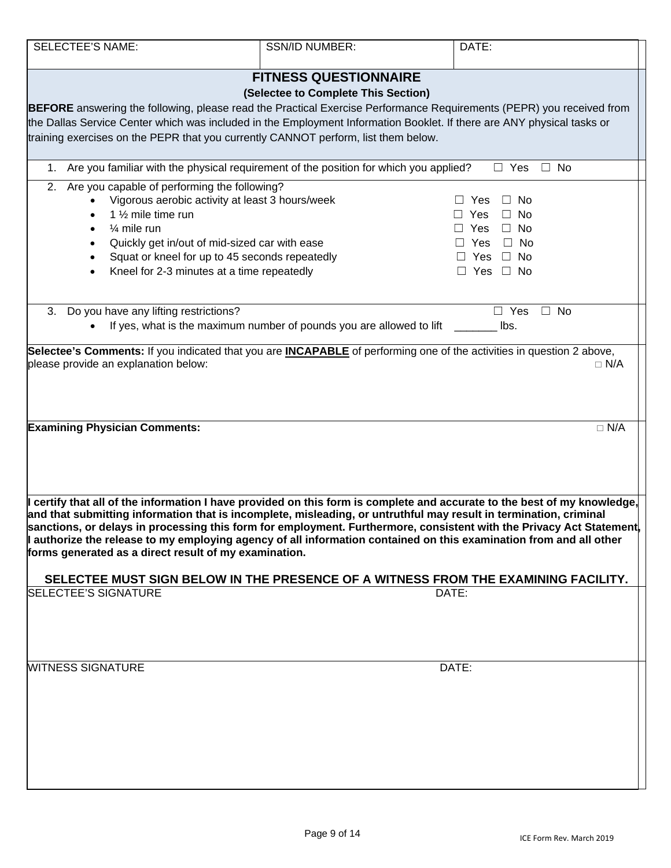| <b>SELECTEE'S NAME:</b>                                                            | <b>SSN/ID NUMBER:</b>                                                                    | DATE:                                                                                                                                                                                                                                                                                                                                                                                                                                                                                                                                                                            |  |
|------------------------------------------------------------------------------------|------------------------------------------------------------------------------------------|----------------------------------------------------------------------------------------------------------------------------------------------------------------------------------------------------------------------------------------------------------------------------------------------------------------------------------------------------------------------------------------------------------------------------------------------------------------------------------------------------------------------------------------------------------------------------------|--|
|                                                                                    | <b>FITNESS QUESTIONNAIRE</b>                                                             |                                                                                                                                                                                                                                                                                                                                                                                                                                                                                                                                                                                  |  |
|                                                                                    | (Selectee to Complete This Section)                                                      |                                                                                                                                                                                                                                                                                                                                                                                                                                                                                                                                                                                  |  |
|                                                                                    |                                                                                          | <b>BEFORE</b> answering the following, please read the Practical Exercise Performance Requirements (PEPR) you received from                                                                                                                                                                                                                                                                                                                                                                                                                                                      |  |
|                                                                                    |                                                                                          | the Dallas Service Center which was included in the Employment Information Booklet. If there are ANY physical tasks or                                                                                                                                                                                                                                                                                                                                                                                                                                                           |  |
| training exercises on the PEPR that you currently CANNOT perform, list them below. |                                                                                          |                                                                                                                                                                                                                                                                                                                                                                                                                                                                                                                                                                                  |  |
|                                                                                    | 1. Are you familiar with the physical requirement of the position for which you applied? | $\Box$ No<br>$\Box$ Yes                                                                                                                                                                                                                                                                                                                                                                                                                                                                                                                                                          |  |
| Are you capable of performing the following?<br>2.                                 |                                                                                          |                                                                                                                                                                                                                                                                                                                                                                                                                                                                                                                                                                                  |  |
|                                                                                    | Vigorous aerobic activity at least 3 hours/week                                          | $\Box$ No<br>Yes                                                                                                                                                                                                                                                                                                                                                                                                                                                                                                                                                                 |  |
| 1 1/2 mile time run<br>$\bullet$                                                   |                                                                                          | Yes<br>No.<br>U.                                                                                                                                                                                                                                                                                                                                                                                                                                                                                                                                                                 |  |
| $\frac{1}{4}$ mile run<br>$\bullet$                                                |                                                                                          | $\Box$ Yes<br>$\Box$ No                                                                                                                                                                                                                                                                                                                                                                                                                                                                                                                                                          |  |
| $\bullet$                                                                          | Quickly get in/out of mid-sized car with ease                                            | $\Box$ No<br>Yes                                                                                                                                                                                                                                                                                                                                                                                                                                                                                                                                                                 |  |
| $\bullet$                                                                          | Squat or kneel for up to 45 seconds repeatedly                                           | Yes<br>$\Box$ No                                                                                                                                                                                                                                                                                                                                                                                                                                                                                                                                                                 |  |
| Kneel for 2-3 minutes at a time repeatedly<br>$\bullet$                            |                                                                                          | $\Box$ Yes $\Box$ No                                                                                                                                                                                                                                                                                                                                                                                                                                                                                                                                                             |  |
|                                                                                    |                                                                                          |                                                                                                                                                                                                                                                                                                                                                                                                                                                                                                                                                                                  |  |
| 3. Do you have any lifting restrictions?                                           | If yes, what is the maximum number of pounds you are allowed to lift                     | $\Box$ Yes<br>$\Box$ No<br>lbs.                                                                                                                                                                                                                                                                                                                                                                                                                                                                                                                                                  |  |
|                                                                                    |                                                                                          |                                                                                                                                                                                                                                                                                                                                                                                                                                                                                                                                                                                  |  |
| <b>Examining Physician Comments:</b>                                               |                                                                                          | $\Box$ N/A                                                                                                                                                                                                                                                                                                                                                                                                                                                                                                                                                                       |  |
| forms generated as a direct result of my examination.                              |                                                                                          | certify that all of the information I have provided on this form is complete and accurate to the best of my knowledge,<br>and that submitting information that is incomplete, misleading, or untruthful may result in termination, criminal<br> sanctions, or delays in processing this form for employment. Furthermore, consistent with the Privacy Act Statement[<br>I authorize the release to my employing agency of all information contained on this examination from and all other<br>SELECTEE MUST SIGN BELOW IN THE PRESENCE OF A WITNESS FROM THE EXAMINING FACILITY. |  |
| <b>SELECTEE'S SIGNATURE</b>                                                        |                                                                                          | DATE:                                                                                                                                                                                                                                                                                                                                                                                                                                                                                                                                                                            |  |
|                                                                                    |                                                                                          |                                                                                                                                                                                                                                                                                                                                                                                                                                                                                                                                                                                  |  |
| <b>WITNESS SIGNATURE</b>                                                           |                                                                                          | DATE:                                                                                                                                                                                                                                                                                                                                                                                                                                                                                                                                                                            |  |
|                                                                                    |                                                                                          |                                                                                                                                                                                                                                                                                                                                                                                                                                                                                                                                                                                  |  |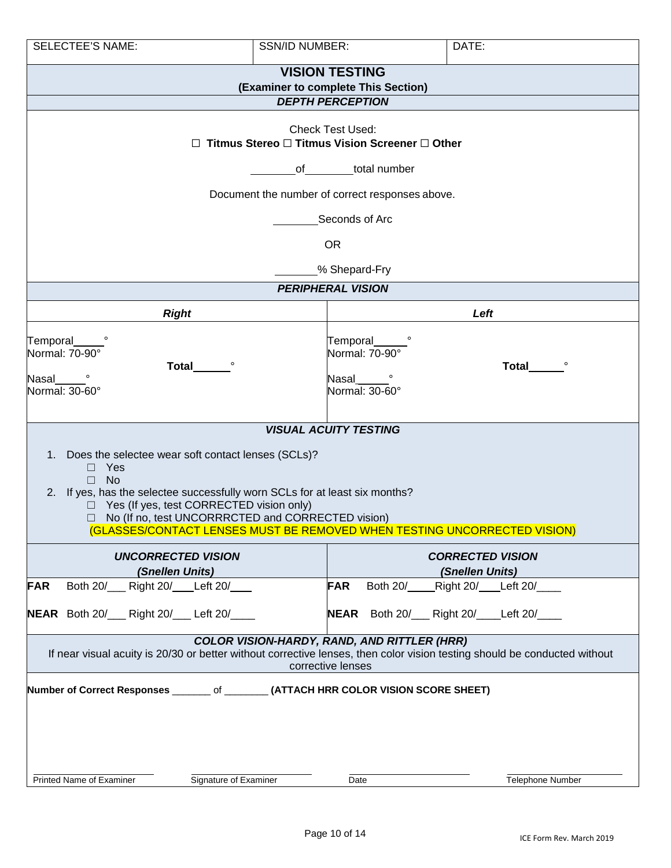| <b>SELECTEE'S NAME:</b>                                                                                                                                                                                                                                                                                                                                                                                                                    | <b>SSN/ID NUMBER:</b>                                                                                                                                                                          | DATE:                                                                      |  |  |  |  |
|--------------------------------------------------------------------------------------------------------------------------------------------------------------------------------------------------------------------------------------------------------------------------------------------------------------------------------------------------------------------------------------------------------------------------------------------|------------------------------------------------------------------------------------------------------------------------------------------------------------------------------------------------|----------------------------------------------------------------------------|--|--|--|--|
|                                                                                                                                                                                                                                                                                                                                                                                                                                            | <b>VISION TESTING</b><br>(Examiner to complete This Section)                                                                                                                                   |                                                                            |  |  |  |  |
| <b>DEPTH PERCEPTION</b>                                                                                                                                                                                                                                                                                                                                                                                                                    |                                                                                                                                                                                                |                                                                            |  |  |  |  |
| П.                                                                                                                                                                                                                                                                                                                                                                                                                                         | <b>Check Test Used:</b><br>Titmus Stereo □ Titmus Vision Screener □ Other<br>total number<br>$of$ and $\sim$<br>Document the number of correct responses above.<br>Seconds of Arc<br><b>OR</b> |                                                                            |  |  |  |  |
|                                                                                                                                                                                                                                                                                                                                                                                                                                            | % Shepard-Fry                                                                                                                                                                                  |                                                                            |  |  |  |  |
|                                                                                                                                                                                                                                                                                                                                                                                                                                            | <b>PERIPHERAL VISION</b>                                                                                                                                                                       |                                                                            |  |  |  |  |
| <b>Right</b><br>Temporal<br>Normal: 70-90°<br><b>Total</b><br>Nasal                                                                                                                                                                                                                                                                                                                                                                        | Temporal<br>Normal: 70-90°<br>Nasal                                                                                                                                                            | Left<br>Total                                                              |  |  |  |  |
| Normal: 30-60°<br>Normal: 30-60°<br><b>VISUAL ACUITY TESTING</b><br>1. Does the selectee wear soft contact lenses (SCLs)?<br>Yes<br>$\Box$<br><b>No</b><br>$\Box$<br>If yes, has the selectee successfully worn SCLs for at least six months?<br>2.<br>Yes (If yes, test CORRECTED vision only)<br>$\Box$<br>No (If no, test UNCORRRCTED and CORRECTED vision)<br>(GLASSES/CONTACT LENSES MUST BE REMOVED WHEN TESTING UNCORRECTED VISION) |                                                                                                                                                                                                |                                                                            |  |  |  |  |
| <b>UNCORRECTED VISION</b><br>(Snellen Units)                                                                                                                                                                                                                                                                                                                                                                                               |                                                                                                                                                                                                | <b>CORRECTED VISION</b><br>(Snellen Units)                                 |  |  |  |  |
| Both 20/___ Right 20/___ Left 20/___<br><b>FAR</b><br>NEAR Both 20/___ Right 20/___ Left 20/____                                                                                                                                                                                                                                                                                                                                           | <b>FAR</b>                                                                                                                                                                                     | Both 20/____ Right 20/ __ Left 20/____<br>NEAR Both 20/ Right 20/ Left 20/ |  |  |  |  |
| <b>COLOR VISION-HARDY, RAND, AND RITTLER (HRR)</b><br>If near visual acuity is 20/30 or better without corrective lenses, then color vision testing should be conducted without<br>corrective lenses                                                                                                                                                                                                                                       |                                                                                                                                                                                                |                                                                            |  |  |  |  |
| Number of Correct Responses ________ of ________ (ATTACH HRR COLOR VISION SCORE SHEET)                                                                                                                                                                                                                                                                                                                                                     |                                                                                                                                                                                                |                                                                            |  |  |  |  |
| Printed Name of Examiner                                                                                                                                                                                                                                                                                                                                                                                                                   | Signature of Examiner<br>Date                                                                                                                                                                  | Telephone Number                                                           |  |  |  |  |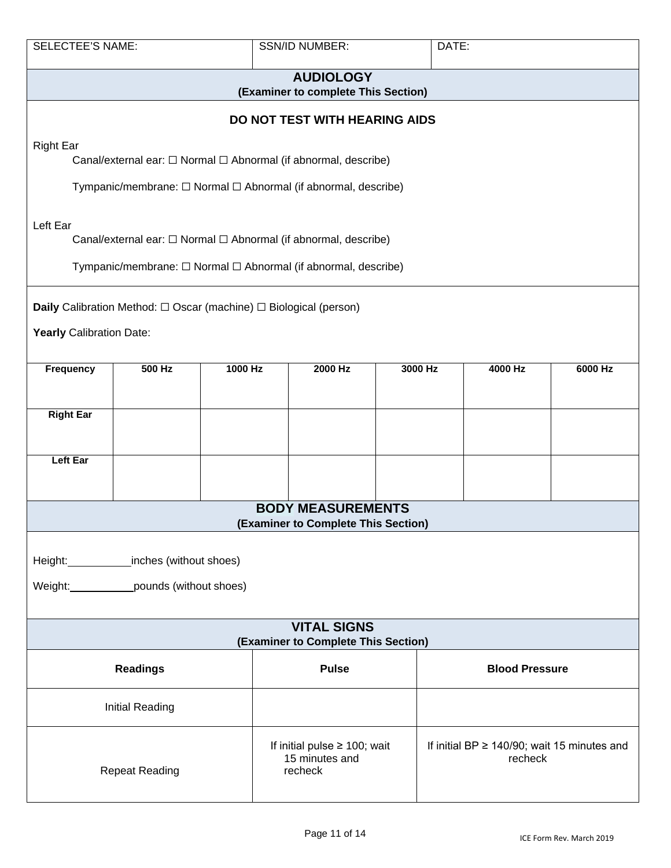| <b>SELECTEE'S NAME:</b>                                                                                                                                | <b>SSN/ID NUMBER:</b><br>DATE:                                                     |         |                                                                                                                                                 |  |                       |         |         |
|--------------------------------------------------------------------------------------------------------------------------------------------------------|------------------------------------------------------------------------------------|---------|-------------------------------------------------------------------------------------------------------------------------------------------------|--|-----------------------|---------|---------|
|                                                                                                                                                        |                                                                                    |         | <b>AUDIOLOGY</b><br>(Examiner to complete This Section)                                                                                         |  |                       |         |         |
|                                                                                                                                                        |                                                                                    |         | DO NOT TEST WITH HEARING AIDS                                                                                                                   |  |                       |         |         |
| <b>Right Ear</b>                                                                                                                                       |                                                                                    |         | Canal/external ear: □ Normal □ Abnormal (if abnormal, describe)                                                                                 |  |                       |         |         |
|                                                                                                                                                        |                                                                                    |         | Tympanic/membrane: □ Normal □ Abnormal (if abnormal, describe)                                                                                  |  |                       |         |         |
| Left Ear                                                                                                                                               |                                                                                    |         | Canal/external ear: $\Box$ Normal $\Box$ Abnormal (if abnormal, describe)<br>Tympanic/membrane: $□$ Normal $□$ Abnormal (if abnormal, describe) |  |                       |         |         |
|                                                                                                                                                        |                                                                                    |         |                                                                                                                                                 |  |                       |         |         |
|                                                                                                                                                        | <b>Daily</b> Calibration Method: $\Box$ Oscar (machine) $\Box$ Biological (person) |         |                                                                                                                                                 |  |                       |         |         |
| Yearly Calibration Date:                                                                                                                               |                                                                                    |         |                                                                                                                                                 |  |                       |         |         |
| <b>Frequency</b>                                                                                                                                       | 500 Hz                                                                             | 1000 Hz | 2000 Hz                                                                                                                                         |  | 3000 Hz               | 4000 Hz | 6000 Hz |
| <b>Right Ear</b>                                                                                                                                       |                                                                                    |         |                                                                                                                                                 |  |                       |         |         |
| <b>Left Ear</b>                                                                                                                                        |                                                                                    |         |                                                                                                                                                 |  |                       |         |         |
|                                                                                                                                                        |                                                                                    |         | <b>BODY MEASUREMENTS</b><br>(Examiner to Complete This Section)                                                                                 |  |                       |         |         |
|                                                                                                                                                        |                                                                                    |         |                                                                                                                                                 |  |                       |         |         |
|                                                                                                                                                        | Height: inches (without shoes)                                                     |         |                                                                                                                                                 |  |                       |         |         |
|                                                                                                                                                        | Weight: ______________pounds (without shoes)                                       |         |                                                                                                                                                 |  |                       |         |         |
| <b>VITAL SIGNS</b><br>(Examiner to Complete This Section)                                                                                              |                                                                                    |         |                                                                                                                                                 |  |                       |         |         |
| <b>Readings</b>                                                                                                                                        |                                                                                    |         | <b>Pulse</b>                                                                                                                                    |  | <b>Blood Pressure</b> |         |         |
|                                                                                                                                                        | <b>Initial Reading</b>                                                             |         |                                                                                                                                                 |  |                       |         |         |
| If initial pulse $\geq$ 100; wait<br>If initial BP $\geq$ 140/90; wait 15 minutes and<br>15 minutes and<br>recheck<br><b>Repeat Reading</b><br>recheck |                                                                                    |         |                                                                                                                                                 |  |                       |         |         |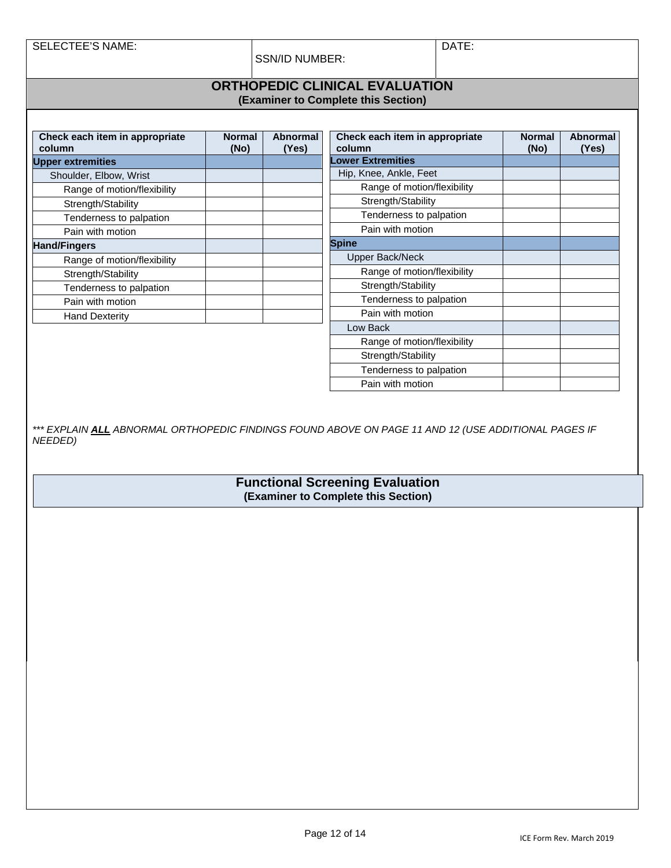SELECTEE'S NAME: DATE:

SSN/ID NUMBER:

#### **ORTHOPEDIC CLINICAL EVALUATION (Examiner to Complete this Section)**

| Check each item in appropriate<br>column | <b>Normal</b><br>(No) | Abnormal<br>(Yes) | Check each item in appropriate<br>column | <b>Normal</b><br>(No) | <b>Abnormal</b><br>(Yes) |
|------------------------------------------|-----------------------|-------------------|------------------------------------------|-----------------------|--------------------------|
| <b>Upper extremities</b>                 |                       |                   | <b>Lower Extremities</b>                 |                       |                          |
| Shoulder, Elbow, Wrist                   |                       |                   | Hip, Knee, Ankle, Feet                   |                       |                          |
| Range of motion/flexibility              |                       |                   | Range of motion/flexibility              |                       |                          |
| Strength/Stability                       |                       |                   | Strength/Stability                       |                       |                          |
| Tenderness to palpation                  |                       |                   | Tenderness to palpation                  |                       |                          |
| Pain with motion                         |                       |                   | Pain with motion                         |                       |                          |
| <b>Hand/Fingers</b>                      |                       |                   | <b>Spine</b>                             |                       |                          |
| Range of motion/flexibility              |                       |                   | Upper Back/Neck                          |                       |                          |
| Strength/Stability                       |                       |                   | Range of motion/flexibility              |                       |                          |
| Tenderness to palpation                  |                       |                   | Strength/Stability                       |                       |                          |
| Pain with motion                         |                       |                   | Tenderness to palpation                  |                       |                          |
| <b>Hand Dexterity</b>                    |                       |                   | Pain with motion                         |                       |                          |
|                                          |                       |                   | Low Back                                 |                       |                          |
|                                          |                       |                   | Range of motion/flexibility              |                       |                          |
|                                          |                       |                   | Strength/Stability                       |                       |                          |
|                                          |                       |                   | Tenderness to palpation                  |                       |                          |
|                                          |                       |                   | Pain with motion                         |                       |                          |

*\*\*\* EXPLAIN ALL ABNORMAL ORTHOPEDIC FINDINGS FOUND ABOVE ON PAGE 11 AND 12 (USE ADDITIONAL PAGES IF NEEDED)*

> **Functional Screening Evaluation (Examiner to Complete this Section)**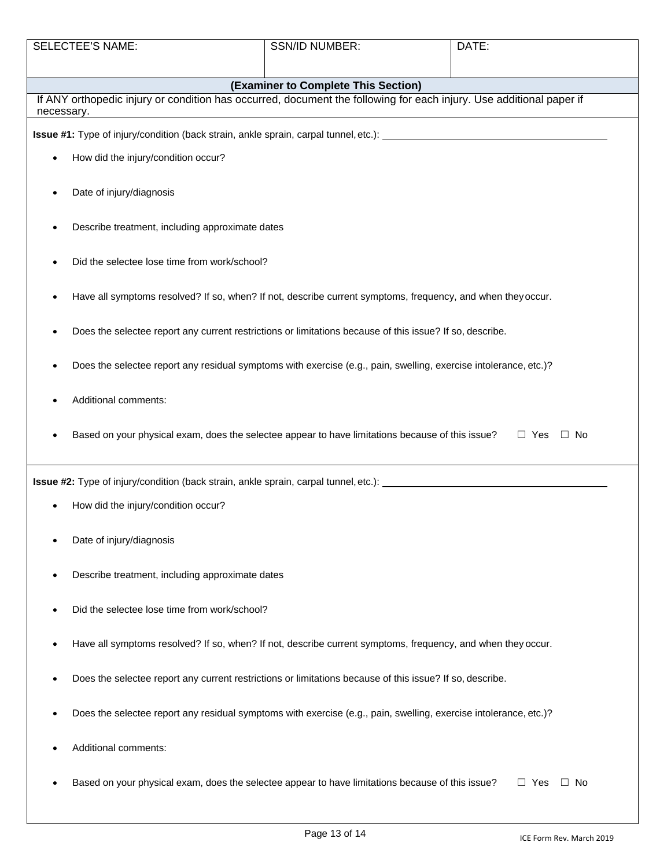| <b>SELECTEE'S NAME:</b>                                                                                                           | <b>SSN/ID NUMBER:</b>                                                                                    | DATE:                   |  |  |
|-----------------------------------------------------------------------------------------------------------------------------------|----------------------------------------------------------------------------------------------------------|-------------------------|--|--|
|                                                                                                                                   |                                                                                                          |                         |  |  |
|                                                                                                                                   | (Examiner to Complete This Section)                                                                      |                         |  |  |
| If ANY orthopedic injury or condition has occurred, document the following for each injury. Use additional paper if<br>necessary. |                                                                                                          |                         |  |  |
| <b>Issue #1:</b> Type of injury/condition (back strain, ankle sprain, carpal tunnel, etc.): __________________________            |                                                                                                          |                         |  |  |
| How did the injury/condition occur?<br>$\bullet$                                                                                  |                                                                                                          |                         |  |  |
| Date of injury/diagnosis                                                                                                          |                                                                                                          |                         |  |  |
| Describe treatment, including approximate dates                                                                                   |                                                                                                          |                         |  |  |
|                                                                                                                                   | Did the selectee lose time from work/school?                                                             |                         |  |  |
| Have all symptoms resolved? If so, when? If not, describe current symptoms, frequency, and when they occur.                       |                                                                                                          |                         |  |  |
| Does the selectee report any current restrictions or limitations because of this issue? If so, describe.                          |                                                                                                          |                         |  |  |
| Does the selectee report any residual symptoms with exercise (e.g., pain, swelling, exercise intolerance, etc.)?                  |                                                                                                          |                         |  |  |
| Additional comments:                                                                                                              |                                                                                                          |                         |  |  |
| Based on your physical exam, does the selectee appear to have limitations because of this issue?                                  |                                                                                                          | $\Box$ Yes $\Box$ No    |  |  |
|                                                                                                                                   |                                                                                                          |                         |  |  |
| How did the injury/condition occur?                                                                                               |                                                                                                          |                         |  |  |
| Date of injury/diagnosis                                                                                                          |                                                                                                          |                         |  |  |
| Describe treatment, including approximate dates                                                                                   |                                                                                                          |                         |  |  |
| Did the selectee lose time from work/school?<br>٠                                                                                 |                                                                                                          |                         |  |  |
| Have all symptoms resolved? If so, when? If not, describe current symptoms, frequency, and when they occur.<br>٠                  |                                                                                                          |                         |  |  |
|                                                                                                                                   | Does the selectee report any current restrictions or limitations because of this issue? If so, describe. |                         |  |  |
| Does the selectee report any residual symptoms with exercise (e.g., pain, swelling, exercise intolerance, etc.)?                  |                                                                                                          |                         |  |  |
| Additional comments:                                                                                                              |                                                                                                          |                         |  |  |
| Based on your physical exam, does the selectee appear to have limitations because of this issue?                                  |                                                                                                          | $\Box$ Yes<br>$\Box$ No |  |  |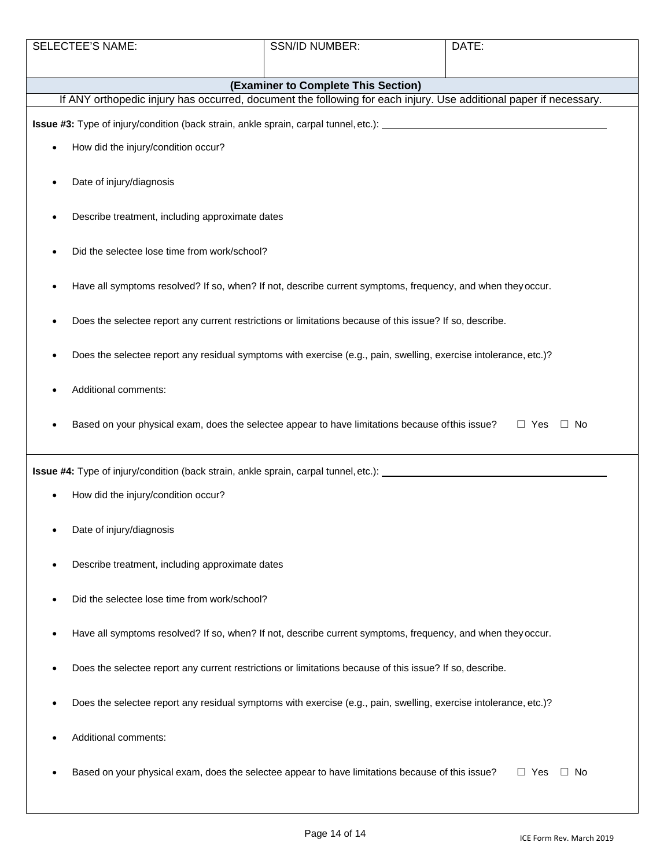| <b>SELECTEE'S NAME:</b>                                                                                           | SSN/ID NUMBER:                                                                                                   | DATE:                      |  |  |  |
|-------------------------------------------------------------------------------------------------------------------|------------------------------------------------------------------------------------------------------------------|----------------------------|--|--|--|
|                                                                                                                   |                                                                                                                  |                            |  |  |  |
| (Examiner to Complete This Section)                                                                               |                                                                                                                  |                            |  |  |  |
| If ANY orthopedic injury has occurred, document the following for each injury. Use additional paper if necessary. |                                                                                                                  |                            |  |  |  |
|                                                                                                                   |                                                                                                                  |                            |  |  |  |
| How did the injury/condition occur?                                                                               |                                                                                                                  |                            |  |  |  |
| Date of injury/diagnosis                                                                                          |                                                                                                                  |                            |  |  |  |
|                                                                                                                   | Describe treatment, including approximate dates                                                                  |                            |  |  |  |
|                                                                                                                   | Did the selectee lose time from work/school?                                                                     |                            |  |  |  |
| Have all symptoms resolved? If so, when? If not, describe current symptoms, frequency, and when they occur.       |                                                                                                                  |                            |  |  |  |
| Does the selectee report any current restrictions or limitations because of this issue? If so, describe.          |                                                                                                                  |                            |  |  |  |
|                                                                                                                   | Does the selectee report any residual symptoms with exercise (e.g., pain, swelling, exercise intolerance, etc.)? |                            |  |  |  |
| Additional comments:                                                                                              |                                                                                                                  |                            |  |  |  |
| Based on your physical exam, does the selectee appear to have limitations because of this issue?                  |                                                                                                                  | $\Box$ Yes<br>$\square$ No |  |  |  |
|                                                                                                                   |                                                                                                                  |                            |  |  |  |
| How did the injury/condition occur?                                                                               |                                                                                                                  |                            |  |  |  |
| Date of injury/diagnosis                                                                                          |                                                                                                                  |                            |  |  |  |
| Describe treatment, including approximate dates                                                                   |                                                                                                                  |                            |  |  |  |
| Did the selectee lose time from work/school?                                                                      |                                                                                                                  |                            |  |  |  |
| Have all symptoms resolved? If so, when? If not, describe current symptoms, frequency, and when they occur.       |                                                                                                                  |                            |  |  |  |
|                                                                                                                   | Does the selectee report any current restrictions or limitations because of this issue? If so, describe.         |                            |  |  |  |
| Does the selectee report any residual symptoms with exercise (e.g., pain, swelling, exercise intolerance, etc.)?  |                                                                                                                  |                            |  |  |  |
| Additional comments:                                                                                              |                                                                                                                  |                            |  |  |  |
| Based on your physical exam, does the selectee appear to have limitations because of this issue?                  |                                                                                                                  | $\Box$ Yes<br>$\Box$ No    |  |  |  |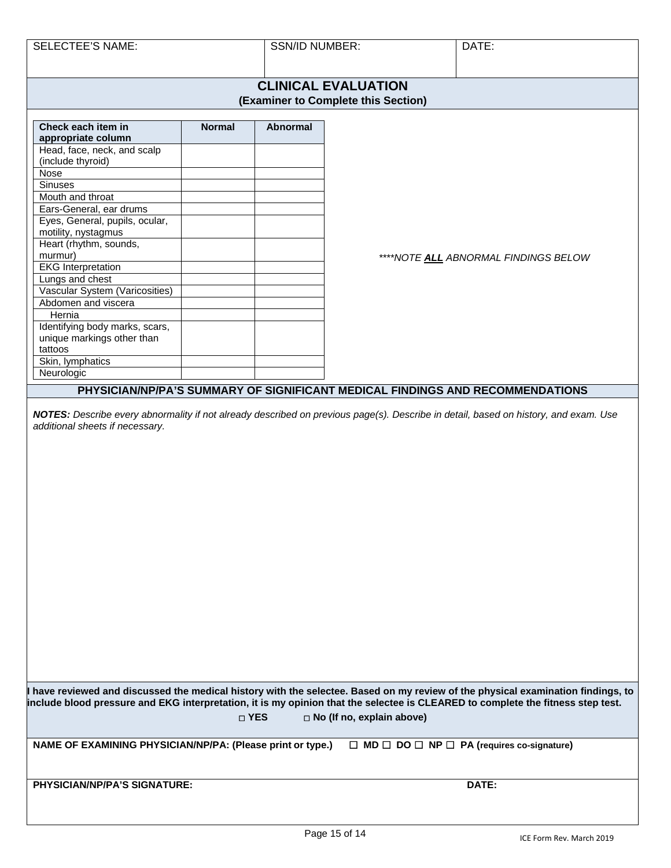SELECTEE'S NAME: SELECTEE'S NAME: SSN/ID NUMBER: SELECTEE'S NAME:

#### **CLINICAL EVALUATION (Examiner to Complete this Section)**

| Check each item in             | <b>Normal</b> | Abnormal |
|--------------------------------|---------------|----------|
| appropriate column             |               |          |
| Head, face, neck, and scalp    |               |          |
| (include thyroid)              |               |          |
| Nose                           |               |          |
| <b>Sinuses</b>                 |               |          |
| Mouth and throat               |               |          |
| Ears-General, ear drums        |               |          |
| Eyes, General, pupils, ocular, |               |          |
| motility, nystagmus            |               |          |
| Heart (rhythm, sounds,         |               |          |
| murmur)                        |               |          |
| <b>EKG Interpretation</b>      |               |          |
| Lungs and chest                |               |          |
| Vascular System (Varicosities) |               |          |
| Abdomen and viscera            |               |          |
| Hernia                         |               |          |
| Identifying body marks, scars, |               |          |
| unique markings other than     |               |          |
| tattoos                        |               |          |
| Skin, lymphatics               |               |          |
| Neurologic                     |               |          |

*\*\*\*\*NOTE ALL ABNORMAL FINDINGS BELOW*

### **PHYSICIAN/NP/PA'S SUMMARY OF SIGNIFICANT MEDICAL FINDINGS AND RECOMMENDATIONS**

*NOTES: Describe every abnormality if not already described on previous page(s). Describe in detail, based on history, and exam. Use additional sheets if necessary.*

**I have reviewed and discussed the medical history with the selectee. Based on my review of the physical examination findings, to include blood pressure and EKG interpretation, it is my opinion that the selectee is CLEARED to complete the fitness step test. YES No (If no, explain above)**

**NAME OF EXAMINING PHYSICIAN/NP/PA: (Please print or type.)** ☐ **MD** ☐ **DO** ☐ **NP** ☐ **PA (requires co-signature)**

**PHYSICIAN/NP/PA'S SIGNATURE: DATE:**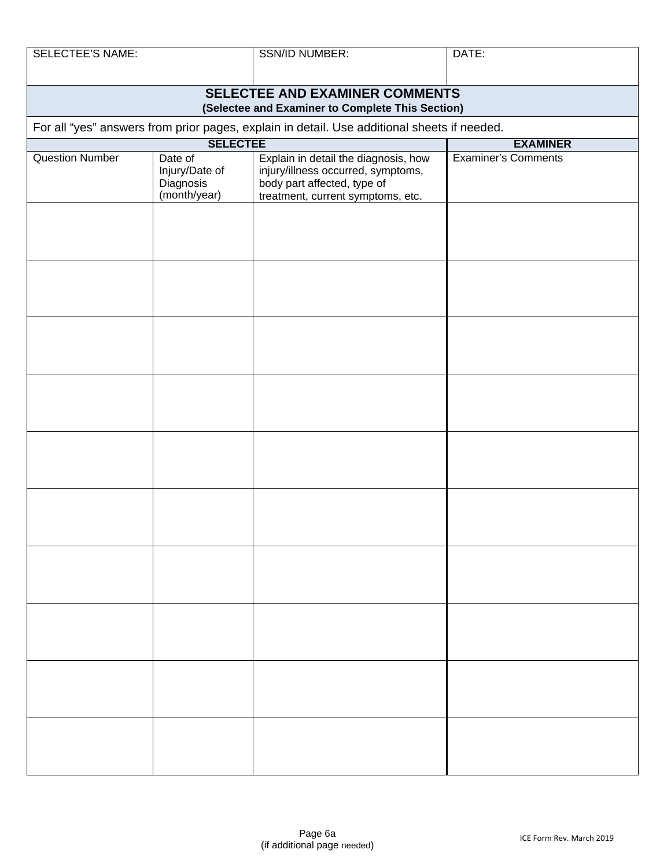| <b>SELECTEE'S NAME:</b>                                                            |                                                        | SSN/ID NUMBER:                                                                                                                                 | DATE:                      |  |  |
|------------------------------------------------------------------------------------|--------------------------------------------------------|------------------------------------------------------------------------------------------------------------------------------------------------|----------------------------|--|--|
| SELECTEE AND EXAMINER COMMENTS<br>(Selectee and Examiner to Complete This Section) |                                                        |                                                                                                                                                |                            |  |  |
|                                                                                    |                                                        | For all "yes" answers from prior pages, explain in detail. Use additional sheets if needed.                                                    |                            |  |  |
|                                                                                    | <b>SELECTEE</b>                                        |                                                                                                                                                | <b>EXAMINER</b>            |  |  |
| <b>Question Number</b>                                                             | Date of<br>Injury/Date of<br>Diagnosis<br>(month/year) | Explain in detail the diagnosis, how<br>injury/illness occurred, symptoms,<br>body part affected, type of<br>treatment, current symptoms, etc. | <b>Examiner's Comments</b> |  |  |
|                                                                                    |                                                        |                                                                                                                                                |                            |  |  |
|                                                                                    |                                                        |                                                                                                                                                |                            |  |  |
|                                                                                    |                                                        |                                                                                                                                                |                            |  |  |
|                                                                                    |                                                        |                                                                                                                                                |                            |  |  |
|                                                                                    |                                                        |                                                                                                                                                |                            |  |  |
|                                                                                    |                                                        |                                                                                                                                                |                            |  |  |
|                                                                                    |                                                        |                                                                                                                                                |                            |  |  |
|                                                                                    |                                                        |                                                                                                                                                |                            |  |  |
|                                                                                    |                                                        |                                                                                                                                                |                            |  |  |
|                                                                                    |                                                        |                                                                                                                                                |                            |  |  |